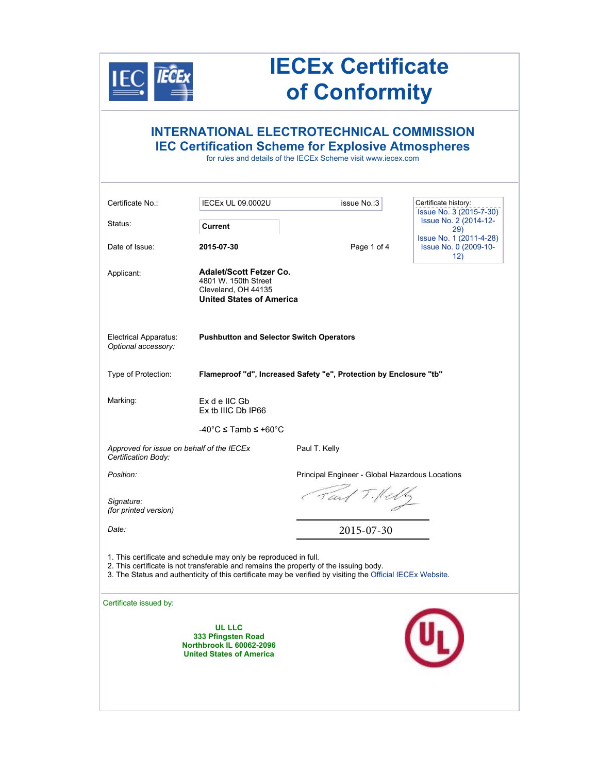

# **IECEx Certificate of Conformity**

## **INTERNATIONAL ELECTROTECHNICAL COMMISSION IEC Certification Scheme for Explosive Atmospheres**

for rules and details of the IECEx Scheme visit www.iecex.com

| <b>IECEX UL 09.0002U</b>                                           | issue No.:3                                                                                              | Certificate history:<br>Issue No. 3 (2015-7-30)                                                                                                                                                                                                                                                                                                                                                 |  |  |
|--------------------------------------------------------------------|----------------------------------------------------------------------------------------------------------|-------------------------------------------------------------------------------------------------------------------------------------------------------------------------------------------------------------------------------------------------------------------------------------------------------------------------------------------------------------------------------------------------|--|--|
| Current                                                            |                                                                                                          | Issue No. 2 (2014-12-<br>29)                                                                                                                                                                                                                                                                                                                                                                    |  |  |
| 2015-07-30                                                         | Page 1 of 4                                                                                              | Issue No. 1 (2011-4-28)<br>Issue No. 0 (2009-10-<br>12)                                                                                                                                                                                                                                                                                                                                         |  |  |
| 4801 W. 150th Street<br>Cleveland, OH 44135                        |                                                                                                          |                                                                                                                                                                                                                                                                                                                                                                                                 |  |  |
|                                                                    |                                                                                                          |                                                                                                                                                                                                                                                                                                                                                                                                 |  |  |
| Flameproof "d", Increased Safety "e", Protection by Enclosure "tb" |                                                                                                          |                                                                                                                                                                                                                                                                                                                                                                                                 |  |  |
| Ex d e IIC Gb<br>Ex tb IIIC Db IP66                                |                                                                                                          |                                                                                                                                                                                                                                                                                                                                                                                                 |  |  |
| $-40^{\circ}$ C $\leq$ Tamb $\leq$ +60 $^{\circ}$ C                |                                                                                                          |                                                                                                                                                                                                                                                                                                                                                                                                 |  |  |
|                                                                    | Paul T. Kelly                                                                                            |                                                                                                                                                                                                                                                                                                                                                                                                 |  |  |
|                                                                    | Principal Engineer - Global Hazardous Locations                                                          |                                                                                                                                                                                                                                                                                                                                                                                                 |  |  |
|                                                                    |                                                                                                          |                                                                                                                                                                                                                                                                                                                                                                                                 |  |  |
|                                                                    | 2015-07-30                                                                                               |                                                                                                                                                                                                                                                                                                                                                                                                 |  |  |
|                                                                    |                                                                                                          |                                                                                                                                                                                                                                                                                                                                                                                                 |  |  |
|                                                                    |                                                                                                          |                                                                                                                                                                                                                                                                                                                                                                                                 |  |  |
| <b>UL LLC</b><br>333 Pfingsten Road                                |                                                                                                          |                                                                                                                                                                                                                                                                                                                                                                                                 |  |  |
|                                                                    | Approved for issue on behalf of the IECEx<br>Northbrook IL 60062-2096<br><b>United States of America</b> | <b>Adalet/Scott Fetzer Co.</b><br><b>United States of America</b><br><b>Pushbutton and Selector Switch Operators</b><br>1. This certificate and schedule may only be reproduced in full.<br>2. This certificate is not transferable and remains the property of the issuing body.<br>3. The Status and authenticity of this certificate may be verified by visiting the Official IECEx Website. |  |  |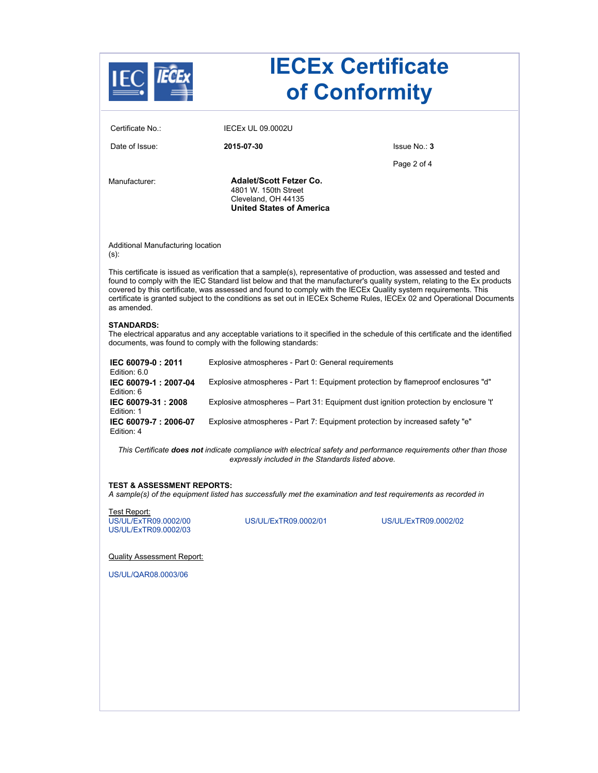| Certificate No.:                                             | <b>IECEX UL 09.0002U</b>                                                                                         |                                                                                                                                                                                                                                                                                                                                                                                                                                                                                               |  |
|--------------------------------------------------------------|------------------------------------------------------------------------------------------------------------------|-----------------------------------------------------------------------------------------------------------------------------------------------------------------------------------------------------------------------------------------------------------------------------------------------------------------------------------------------------------------------------------------------------------------------------------------------------------------------------------------------|--|
| Date of Issue:                                               | 2015-07-30                                                                                                       | Issue No.: 3                                                                                                                                                                                                                                                                                                                                                                                                                                                                                  |  |
|                                                              |                                                                                                                  | Page 2 of 4                                                                                                                                                                                                                                                                                                                                                                                                                                                                                   |  |
| Manufacturer:                                                | <b>Adalet/Scott Fetzer Co.</b><br>4801 W. 150th Street<br>Cleveland, OH 44135<br><b>United States of America</b> |                                                                                                                                                                                                                                                                                                                                                                                                                                                                                               |  |
| Additional Manufacturing location<br>$(s)$ :                 |                                                                                                                  |                                                                                                                                                                                                                                                                                                                                                                                                                                                                                               |  |
| as amended.                                                  |                                                                                                                  | This certificate is issued as verification that a sample(s), representative of production, was assessed and tested and<br>found to comply with the IEC Standard list below and that the manufacturer's quality system, relating to the Ex products<br>covered by this certificate, was assessed and found to comply with the IECEx Quality system requirements. This<br>certificate is granted subject to the conditions as set out in IECEx Scheme Rules, IECEx 02 and Operational Documents |  |
| <b>STANDARDS:</b>                                            | documents, was found to comply with the following standards:                                                     | The electrical apparatus and any acceptable variations to it specified in the schedule of this certificate and the identified                                                                                                                                                                                                                                                                                                                                                                 |  |
| IEC 60079-0: 2011<br>Edition: 6.0                            | Explosive atmospheres - Part 0: General requirements                                                             |                                                                                                                                                                                                                                                                                                                                                                                                                                                                                               |  |
| IEC 60079-1: 2007-04<br>Edition: 6                           | Explosive atmospheres - Part 1: Equipment protection by flameproof enclosures "d"                                |                                                                                                                                                                                                                                                                                                                                                                                                                                                                                               |  |
| IEC 60079-31: 2008<br>Edition: 1                             |                                                                                                                  | Explosive atmospheres - Part 31: Equipment dust ignition protection by enclosure 't'                                                                                                                                                                                                                                                                                                                                                                                                          |  |
| IEC 60079-7: 2006-07<br>Edition: 4                           | Explosive atmospheres - Part 7: Equipment protection by increased safety "e"                                     |                                                                                                                                                                                                                                                                                                                                                                                                                                                                                               |  |
|                                                              | expressly included in the Standards listed above.                                                                | This Certificate does not indicate compliance with electrical safety and performance requirements other than those                                                                                                                                                                                                                                                                                                                                                                            |  |
| <b>TEST &amp; ASSESSMENT REPORTS:</b>                        |                                                                                                                  | A sample(s) of the equipment listed has successfully met the examination and test requirements as recorded in                                                                                                                                                                                                                                                                                                                                                                                 |  |
| Test Report:<br>US/UL/ExTR09.0002/00<br>US/UL/ExTR09.0002/03 | US/UL/ExTR09.0002/01                                                                                             | US/UL/ExTR09.0002/02                                                                                                                                                                                                                                                                                                                                                                                                                                                                          |  |
| <b>Quality Assessment Report:</b>                            |                                                                                                                  |                                                                                                                                                                                                                                                                                                                                                                                                                                                                                               |  |
| US/UL/QAR08.0003/06                                          |                                                                                                                  |                                                                                                                                                                                                                                                                                                                                                                                                                                                                                               |  |
|                                                              |                                                                                                                  |                                                                                                                                                                                                                                                                                                                                                                                                                                                                                               |  |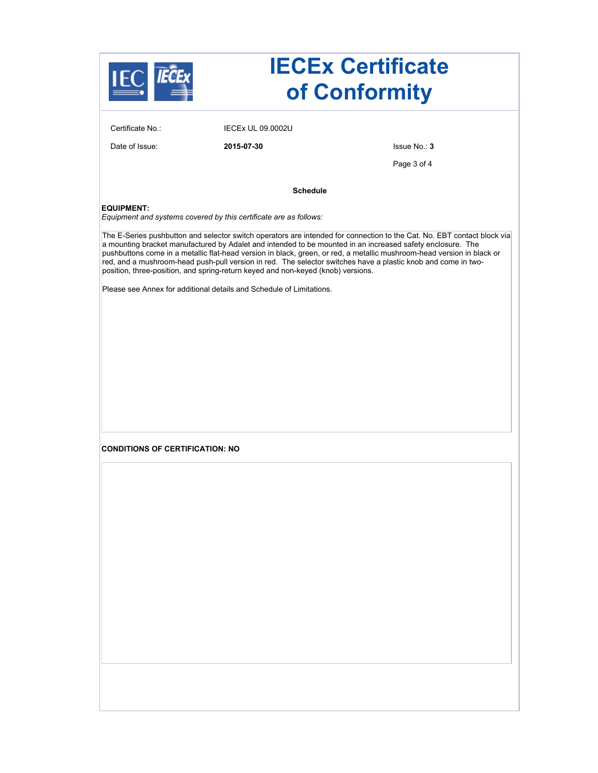| <b>IECEx Certificate</b><br>of Conformity |                                                                                  |                                                                                                                                                                                                                                                                                                                                                       |  |
|-------------------------------------------|----------------------------------------------------------------------------------|-------------------------------------------------------------------------------------------------------------------------------------------------------------------------------------------------------------------------------------------------------------------------------------------------------------------------------------------------------|--|
| Certificate No.:                          | <b>IECEX UL 09.0002U</b>                                                         |                                                                                                                                                                                                                                                                                                                                                       |  |
| Date of Issue:                            | 2015-07-30                                                                       | Issue No.: 3                                                                                                                                                                                                                                                                                                                                          |  |
|                                           |                                                                                  | Page 3 of 4                                                                                                                                                                                                                                                                                                                                           |  |
|                                           | <b>Schedule</b>                                                                  |                                                                                                                                                                                                                                                                                                                                                       |  |
| <b>EQUIPMENT:</b>                         | Equipment and systems covered by this certificate are as follows:                | The E-Series pushbutton and selector switch operators are intended for connection to the Cat. No. EBT contact block via                                                                                                                                                                                                                               |  |
|                                           | position, three-position, and spring-return keyed and non-keyed (knob) versions. | a mounting bracket manufactured by Adalet and intended to be mounted in an increased safety enclosure. The<br>pushbuttons come in a metallic flat-head version in black, green, or red, a metallic mushroom-head version in black or<br>red, and a mushroom-head push-pull version in red. The selector switches have a plastic knob and come in two- |  |
|                                           | Please see Annex for additional details and Schedule of Limitations.             |                                                                                                                                                                                                                                                                                                                                                       |  |
|                                           |                                                                                  |                                                                                                                                                                                                                                                                                                                                                       |  |
|                                           |                                                                                  |                                                                                                                                                                                                                                                                                                                                                       |  |
|                                           |                                                                                  |                                                                                                                                                                                                                                                                                                                                                       |  |
|                                           |                                                                                  |                                                                                                                                                                                                                                                                                                                                                       |  |
|                                           |                                                                                  |                                                                                                                                                                                                                                                                                                                                                       |  |
|                                           |                                                                                  |                                                                                                                                                                                                                                                                                                                                                       |  |
| <b>CONDITIONS OF CERTIFICATION: NO</b>    |                                                                                  |                                                                                                                                                                                                                                                                                                                                                       |  |
|                                           |                                                                                  |                                                                                                                                                                                                                                                                                                                                                       |  |
|                                           |                                                                                  |                                                                                                                                                                                                                                                                                                                                                       |  |
|                                           |                                                                                  |                                                                                                                                                                                                                                                                                                                                                       |  |
|                                           |                                                                                  |                                                                                                                                                                                                                                                                                                                                                       |  |
|                                           |                                                                                  |                                                                                                                                                                                                                                                                                                                                                       |  |
|                                           |                                                                                  |                                                                                                                                                                                                                                                                                                                                                       |  |
|                                           |                                                                                  |                                                                                                                                                                                                                                                                                                                                                       |  |
|                                           |                                                                                  |                                                                                                                                                                                                                                                                                                                                                       |  |
|                                           |                                                                                  |                                                                                                                                                                                                                                                                                                                                                       |  |
|                                           |                                                                                  |                                                                                                                                                                                                                                                                                                                                                       |  |
|                                           |                                                                                  |                                                                                                                                                                                                                                                                                                                                                       |  |
|                                           |                                                                                  |                                                                                                                                                                                                                                                                                                                                                       |  |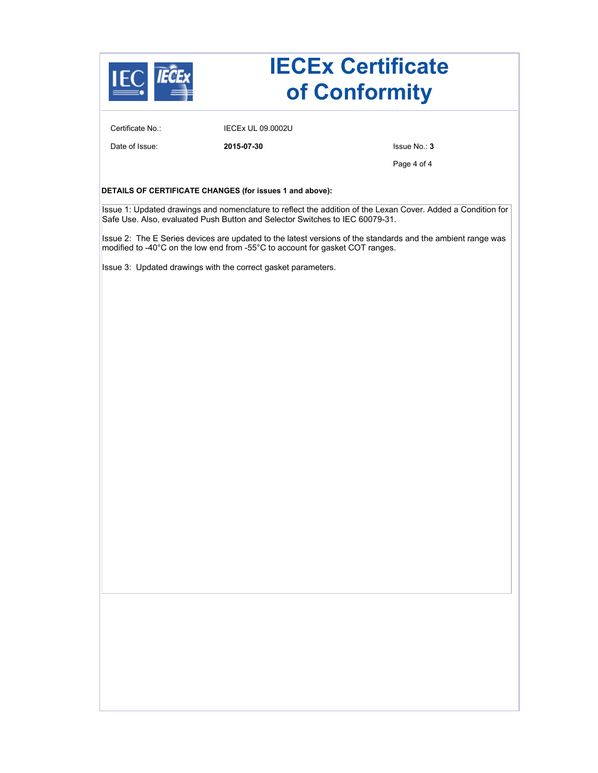

# **IECEx Certificate of Conformity**

Certificate No.: IECEx UL 09.0002U

Date of Issue: **2015-07-30** Issue No.: **3**

Page 4 of 4

#### **DETAILS OF CERTIFICATE CHANGES (for issues 1 and above):**

Issue 1: Updated drawings and nomenclature to reflect the addition of the Lexan Cover. Added a Condition for Safe Use. Also, evaluated Push Button and Selector Switches to IEC 60079-31.

Issue 2: The E Series devices are updated to the latest versions of the standards and the ambient range was modified to -40°C on the low end from -55°C to account for gasket COT ranges.

Issue 3: Updated drawings with the correct gasket parameters.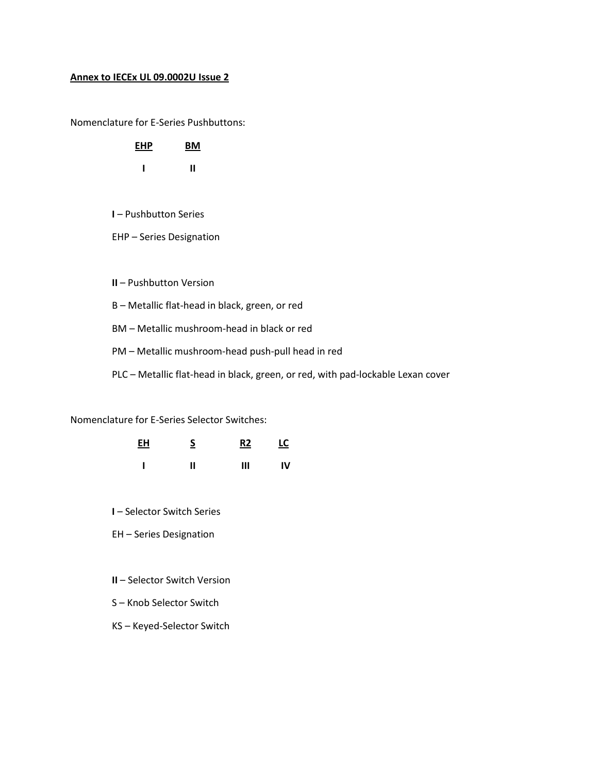### **Annex to IECEx UL 09.0002U Issue 2**

Nomenclature for E-Series Pushbuttons:

| <b>EHP</b> | ВM |
|------------|----|
| ı          | "  |

- **I** Pushbutton Series
- EHP Series Designation

**II** – Pushbutton Version

B – Metallic flat-head in black, green, or red

BM – Metallic mushroom-head in black or red

PM – Metallic mushroom-head push-pull head in red

PLC – Metallic flat-head in black, green, or red, with pad-lockable Lexan cover

Nomenclature for E-Series Selector Switches:

| EH | $\overline{\mathsf{S}}$ | R2 | <u>LC</u> |  |
|----|-------------------------|----|-----------|--|
|    | Ш                       | Ш  | IV        |  |

**I** – Selector Switch Series

EH – Series Designation

- **II**  Selector Switch Version
- S Knob Selector Switch
- KS Keyed-Selector Switch